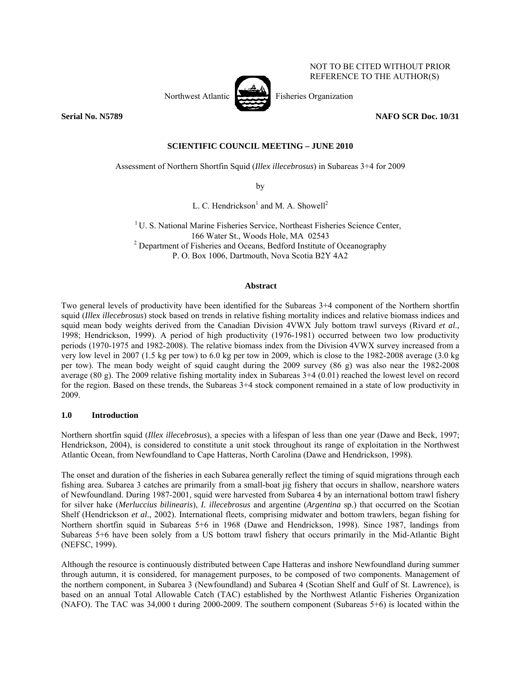

NOT TO BE CITED WITHOUT PRIOR REFERENCE TO THE AUTHOR(S)

# **Serial No. N5789 NAFO SCR Doc. 10/31**

# **SCIENTIFIC COUNCIL MEETING – JUNE 2010**

Assessment of Northern Shortfin Squid (*Illex illecebrosus*) in Subareas 3+4 for 2009

by

L. C. Hendrickson<sup>1</sup> and M. A. Showell<sup>2</sup>

<sup>1</sup> U. S. National Marine Fisheries Service, Northeast Fisheries Science Center, <sup>2</sup> Department of Fisheries and Oceans, Bedford Institute of Oceanography<sup>2</sup> P. O. Box 1006, Dartmouth, Nova Scotia B2Y 4A2

# **Abstract**

Two general levels of productivity have been identified for the Subareas 3+4 component of the Northern shortfin squid (*Illex illecebrosus*) stock based on trends in relative fishing mortality indices and relative biomass indices and squid mean body weights derived from the Canadian Division 4VWX July bottom trawl surveys (Rivard *et al*., 1998; Hendrickson, 1999). A period of high productivity (1976-1981) occurred between two low productivity periods (1970-1975 and 1982-2008). The relative biomass index from the Division 4VWX survey increased from a very low level in 2007 (1.5 kg per tow) to 6.0 kg per tow in 2009, which is close to the 1982-2008 average (3.0 kg per tow). The mean body weight of squid caught during the 2009 survey (86 g) was also near the 1982-2008 average (80 g). The 2009 relative fishing mortality index in Subareas 3+4 (0.01) reached the lowest level on record for the region. Based on these trends, the Subareas 3+4 stock component remained in a state of low productivity in 2009.

# **1.0 Introduction**

Northern shortfin squid (*Illex illecebrosus*), a species with a lifespan of less than one year (Dawe and Beck, 1997; Hendrickson, 2004), is considered to constitute a unit stock throughout its range of exploitation in the Northwest Atlantic Ocean, from Newfoundland to Cape Hatteras, North Carolina (Dawe and Hendrickson, 1998).

The onset and duration of the fisheries in each Subarea generally reflect the timing of squid migrations through each fishing area. Subarea 3 catches are primarily from a small-boat jig fishery that occurs in shallow, nearshore waters of Newfoundland. During 1987-2001, squid were harvested from Subarea 4 by an international bottom trawl fishery for silver hake (*Merluccius bilinearis*), *I. illecebrosus* and argentine (*Argentina* sp.) that occurred on the Scotian Shelf (Hendrickson *et al*., 2002). International fleets, comprising midwater and bottom trawlers, began fishing for Northern shortfin squid in Subareas 5+6 in 1968 (Dawe and Hendrickson, 1998). Since 1987, landings from Subareas 5+6 have been solely from a US bottom trawl fishery that occurs primarily in the Mid-Atlantic Bight (NEFSC, 1999).

Although the resource is continuously distributed between Cape Hatteras and inshore Newfoundland during summer through autumn, it is considered, for management purposes, to be composed of two components. Management of the northern component, in Subarea 3 (Newfoundland) and Subarea 4 (Scotian Shelf and Gulf of St. Lawrence), is based on an annual Total Allowable Catch (TAC) established by the Northwest Atlantic Fisheries Organization (NAFO). The TAC was 34,000 t during 2000-2009. The southern component (Subareas 5+6) is located within the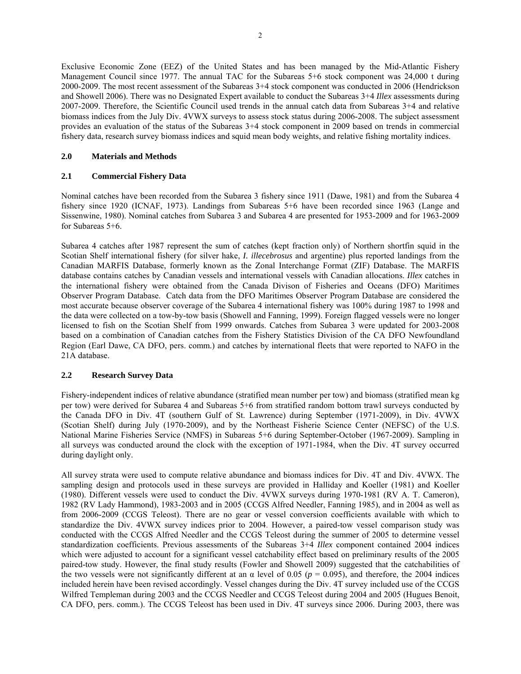Exclusive Economic Zone (EEZ) of the United States and has been managed by the Mid-Atlantic Fishery Management Council since 1977. The annual TAC for the Subareas 5+6 stock component was 24,000 t during 2000-2009. The most recent assessment of the Subareas 3+4 stock component was conducted in 2006 (Hendrickson and Showell 2006). There was no Designated Expert available to conduct the Subareas 3+4 *Illex* assessments during 2007-2009. Therefore, the Scientific Council used trends in the annual catch data from Subareas 3+4 and relative biomass indices from the July Div. 4VWX surveys to assess stock status during 2006-2008. The subject assessment provides an evaluation of the status of the Subareas 3+4 stock component in 2009 based on trends in commercial fishery data, research survey biomass indices and squid mean body weights, and relative fishing mortality indices.

## **2.0 Materials and Methods**

## **2.1 Commercial Fishery Data**

Nominal catches have been recorded from the Subarea 3 fishery since 1911 (Dawe, 1981) and from the Subarea 4 fishery since 1920 (ICNAF, 1973). Landings from Subareas 5+6 have been recorded since 1963 (Lange and Sissenwine, 1980). Nominal catches from Subarea 3 and Subarea 4 are presented for 1953-2009 and for 1963-2009 for Subareas 5+6.

Subarea 4 catches after 1987 represent the sum of catches (kept fraction only) of Northern shortfin squid in the Scotian Shelf international fishery (for silver hake, *I. illecebrosus* and argentine) plus reported landings from the Canadian MARFIS Database, formerly known as the Zonal Interchange Format (ZIF) Database. The MARFIS database contains catches by Canadian vessels and international vessels with Canadian allocations. *Illex* catches in the international fishery were obtained from the Canada Divison of Fisheries and Oceans (DFO) Maritimes Observer Program Database. Catch data from the DFO Maritimes Observer Program Database are considered the most accurate because observer coverage of the Subarea 4 international fishery was 100% during 1987 to 1998 and the data were collected on a tow-by-tow basis (Showell and Fanning, 1999). Foreign flagged vessels were no longer licensed to fish on the Scotian Shelf from 1999 onwards. Catches from Subarea 3 were updated for 2003-2008 based on a combination of Canadian catches from the Fishery Statistics Division of the CA DFO Newfoundland Region (Earl Dawe, CA DFO, pers. comm.) and catches by international fleets that were reported to NAFO in the 21A database.

# **2.2 Research Survey Data**

Fishery-independent indices of relative abundance (stratified mean number per tow) and biomass (stratified mean kg per tow) were derived for Subarea 4 and Subareas 5+6 from stratified random bottom trawl surveys conducted by the Canada DFO in Div. 4T (southern Gulf of St. Lawrence) during September (1971-2009), in Div. 4VWX (Scotian Shelf) during July (1970-2009), and by the Northeast Fisherie Science Center (NEFSC) of the U.S. National Marine Fisheries Service (NMFS) in Subareas 5+6 during September-October (1967-2009). Sampling in all surveys was conducted around the clock with the exception of 1971-1984, when the Div. 4T survey occurred during daylight only.

All survey strata were used to compute relative abundance and biomass indices for Div. 4T and Div. 4VWX. The sampling design and protocols used in these surveys are provided in Halliday and Koeller (1981) and Koeller (1980). Different vessels were used to conduct the Div. 4VWX surveys during 1970-1981 (RV A. T. Cameron), 1982 (RV Lady Hammond), 1983-2003 and in 2005 (CCGS Alfred Needler, Fanning 1985), and in 2004 as well as from 2006-2009 (CCGS Teleost). There are no gear or vessel conversion coefficients available with which to standardize the Div. 4VWX survey indices prior to 2004. However, a paired-tow vessel comparison study was conducted with the CCGS Alfred Needler and the CCGS Teleost during the summer of 2005 to determine vessel standardization coefficients. Previous assessments of the Subareas 3+4 *Illex* component contained 2004 indices which were adjusted to account for a significant vessel catchability effect based on preliminary results of the 2005 paired-tow study. However, the final study results (Fowler and Showell 2009) suggested that the catchabilities of the two vessels were not significantly different at an  $\alpha$  level of 0.05 ( $p = 0.095$ ), and therefore, the 2004 indices included herein have been revised accordingly. Vessel changes during the Div. 4T survey included use of the CCGS Wilfred Templeman during 2003 and the CCGS Needler and CCGS Teleost during 2004 and 2005 (Hugues Benoit, CA DFO, pers. comm.). The CCGS Teleost has been used in Div. 4T surveys since 2006. During 2003, there was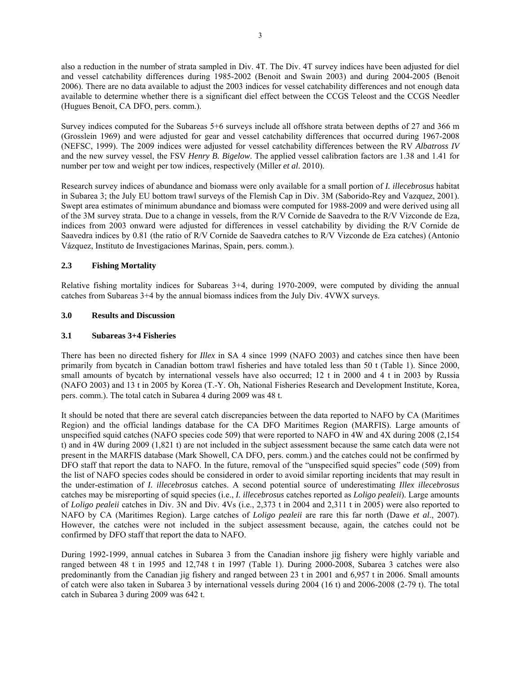also a reduction in the number of strata sampled in Div. 4T. The Div. 4T survey indices have been adjusted for diel and vessel catchability differences during 1985-2002 (Benoit and Swain 2003) and during 2004-2005 (Benoit 2006). There are no data available to adjust the 2003 indices for vessel catchability differences and not enough data available to determine whether there is a significant diel effect between the CCGS Teleost and the CCGS Needler (Hugues Benoit, CA DFO, pers. comm.).

Survey indices computed for the Subareas 5+6 surveys include all offshore strata between depths of 27 and 366 m (Grosslein 1969) and were adjusted for gear and vessel catchability differences that occurred during 1967-2008 (NEFSC, 1999). The 2009 indices were adjusted for vessel catchability differences between the RV *Albatross IV* and the new survey vessel, the FSV *Henry B. Bigelow*. The applied vessel calibration factors are 1.38 and 1.41 for number per tow and weight per tow indices, respectively (Miller *et al*. 2010).

Research survey indices of abundance and biomass were only available for a small portion of *I. illecebrosus* habitat in Subarea 3; the July EU bottom trawl surveys of the Flemish Cap in Div. 3M (Saborido-Rey and Vazquez, 2001). Swept area estimates of minimum abundance and biomass were computed for 1988-2009 and were derived using all of the 3M survey strata. Due to a change in vessels, from the R/V Cornide de Saavedra to the R/V Vizconde de Eza, indices from 2003 onward were adjusted for differences in vessel catchability by dividing the R/V Cornide de Saavedra indices by 0.81 (the ratio of R/V Cornide de Saavedra catches to R/V Vizconde de Eza catches) (Antonio Vázquez, Instituto de Investigaciones Marinas, Spain, pers. comm.).

## **2.3 Fishing Mortality**

Relative fishing mortality indices for Subareas 3+4, during 1970-2009, were computed by dividing the annual catches from Subareas 3+4 by the annual biomass indices from the July Div. 4VWX surveys.

#### **3.0 Results and Discussion**

#### **3.1 Subareas 3+4 Fisheries**

There has been no directed fishery for *Illex* in SA 4 since 1999 (NAFO 2003) and catches since then have been primarily from bycatch in Canadian bottom trawl fisheries and have totaled less than 50 t (Table 1). Since 2000, small amounts of bycatch by international vessels have also occurred; 12 t in 2000 and 4 t in 2003 by Russia (NAFO 2003) and 13 t in 2005 by Korea (T.-Y. Oh, National Fisheries Research and Development Institute, Korea, pers. comm.). The total catch in Subarea 4 during 2009 was 48 t.

It should be noted that there are several catch discrepancies between the data reported to NAFO by CA (Maritimes Region) and the official landings database for the CA DFO Maritimes Region (MARFIS). Large amounts of unspecified squid catches (NAFO species code 509) that were reported to NAFO in 4W and 4X during 2008 (2,154 t) and in 4W during 2009 (1,821 t) are not included in the subject assessment because the same catch data were not present in the MARFIS database (Mark Showell, CA DFO, pers. comm.) and the catches could not be confirmed by DFO staff that report the data to NAFO. In the future, removal of the "unspecified squid species" code (509) from the list of NAFO species codes should be considered in order to avoid similar reporting incidents that may result in the under-estimation of *I. illecebrosus* catches. A second potential source of underestimating *Illex illecebrosus* catches may be misreporting of squid species (i.e., *I. illecebrosus* catches reported as *Loligo pealeii*). Large amounts of *Loligo pealeii* catches in Div. 3N and Div. 4Vs (i.e., 2,373 t in 2004 and 2,311 t in 2005) were also reported to NAFO by CA (Maritimes Region). Large catches of *Loligo pealeii* are rare this far north (Dawe *et al*., 2007). However, the catches were not included in the subject assessment because, again, the catches could not be confirmed by DFO staff that report the data to NAFO.

During 1992-1999, annual catches in Subarea 3 from the Canadian inshore jig fishery were highly variable and ranged between 48 t in 1995 and 12,748 t in 1997 (Table 1). During 2000-2008, Subarea 3 catches were also predominantly from the Canadian jig fishery and ranged between 23 t in 2001 and 6,957 t in 2006. Small amounts of catch were also taken in Subarea 3 by international vessels during 2004 (16 t) and 2006-2008 (2-79 t). The total catch in Subarea 3 during 2009 was 642 t.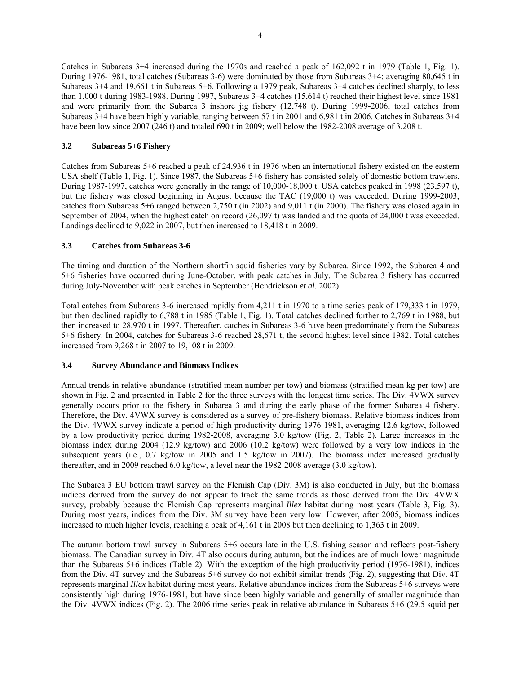Catches in Subareas 3+4 increased during the 1970s and reached a peak of 162,092 t in 1979 (Table 1, Fig. 1). During 1976-1981, total catches (Subareas 3-6) were dominated by those from Subareas 3+4; averaging 80,645 t in Subareas 3+4 and 19,661 t in Subareas 5+6. Following a 1979 peak, Subareas 3+4 catches declined sharply, to less than 1,000 t during 1983-1988. During 1997, Subareas 3+4 catches (15,614 t) reached their highest level since 1981 and were primarily from the Subarea 3 inshore jig fishery (12,748 t). During 1999-2006, total catches from Subareas 3+4 have been highly variable, ranging between 57 t in 2001 and 6,981 t in 2006. Catches in Subareas 3+4 have been low since 2007 (246 t) and totaled 690 t in 2009; well below the 1982-2008 average of 3,208 t.

## **3.2 Subareas 5+6 Fishery**

Catches from Subareas 5+6 reached a peak of 24,936 t in 1976 when an international fishery existed on the eastern USA shelf (Table 1, Fig. 1). Since 1987, the Subareas 5+6 fishery has consisted solely of domestic bottom trawlers. During 1987-1997, catches were generally in the range of 10,000-18,000 t. USA catches peaked in 1998 (23,597 t), but the fishery was closed beginning in August because the TAC (19,000 t) was exceeded. During 1999-2003, catches from Subareas 5+6 ranged between 2,750 t (in 2002) and 9,011 t (in 2000). The fishery was closed again in September of 2004, when the highest catch on record (26,097 t) was landed and the quota of 24,000 t was exceeded. Landings declined to 9,022 in 2007, but then increased to 18,418 t in 2009.

## **3.3 Catches from Subareas 3-6**

The timing and duration of the Northern shortfin squid fisheries vary by Subarea. Since 1992, the Subarea 4 and 5+6 fisheries have occurred during June-October, with peak catches in July. The Subarea 3 fishery has occurred during July-November with peak catches in September (Hendrickson *et al*. 2002).

Total catches from Subareas 3-6 increased rapidly from 4,211 t in 1970 to a time series peak of 179,333 t in 1979, but then declined rapidly to 6,788 t in 1985 (Table 1, Fig. 1). Total catches declined further to 2,769 t in 1988, but then increased to 28,970 t in 1997. Thereafter, catches in Subareas 3-6 have been predominately from the Subareas 5+6 fishery. In 2004, catches for Subareas 3-6 reached 28,671 t, the second highest level since 1982. Total catches increased from 9,268 t in 2007 to 19,108 t in 2009.

#### **3.4 Survey Abundance and Biomass Indices**

Annual trends in relative abundance (stratified mean number per tow) and biomass (stratified mean kg per tow) are shown in Fig. 2 and presented in Table 2 for the three surveys with the longest time series. The Div. 4VWX survey generally occurs prior to the fishery in Subarea 3 and during the early phase of the former Subarea 4 fishery. Therefore, the Div. 4VWX survey is considered as a survey of pre-fishery biomass. Relative biomass indices from the Div. 4VWX survey indicate a period of high productivity during 1976-1981, averaging 12.6 kg/tow, followed by a low productivity period during 1982-2008, averaging 3.0 kg/tow (Fig. 2, Table 2). Large increases in the biomass index during 2004 (12.9 kg/tow) and 2006 (10.2 kg/tow) were followed by a very low indices in the subsequent years (i.e., 0.7 kg/tow in 2005 and 1.5 kg/tow in 2007). The biomass index increased gradually thereafter, and in 2009 reached 6.0 kg/tow, a level near the 1982-2008 average (3.0 kg/tow).

The Subarea 3 EU bottom trawl survey on the Flemish Cap (Div. 3M) is also conducted in July, but the biomass indices derived from the survey do not appear to track the same trends as those derived from the Div. 4VWX survey, probably because the Flemish Cap represents marginal *Illex* habitat during most years (Table 3, Fig. 3). During most years, indices from the Div. 3M survey have been very low. However, after 2005, biomass indices increased to much higher levels, reaching a peak of 4,161 t in 2008 but then declining to 1,363 t in 2009.

The autumn bottom trawl survey in Subareas 5+6 occurs late in the U.S. fishing season and reflects post-fishery biomass. The Canadian survey in Div. 4T also occurs during autumn, but the indices are of much lower magnitude than the Subareas 5+6 indices (Table 2). With the exception of the high productivity period (1976-1981), indices from the Div. 4T survey and the Subareas 5+6 survey do not exhibit similar trends (Fig. 2), suggesting that Div. 4T represents marginal *Illex* habitat during most years. Relative abundance indices from the Subareas 5+6 surveys were consistently high during 1976-1981, but have since been highly variable and generally of smaller magnitude than the Div. 4VWX indices (Fig. 2). The 2006 time series peak in relative abundance in Subareas 5+6 (29.5 squid per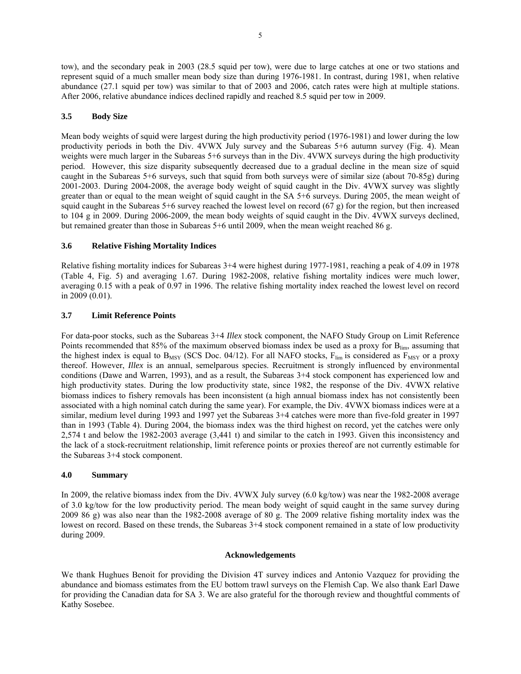tow), and the secondary peak in 2003 (28.5 squid per tow), were due to large catches at one or two stations and represent squid of a much smaller mean body size than during 1976-1981. In contrast, during 1981, when relative abundance (27.1 squid per tow) was similar to that of 2003 and 2006, catch rates were high at multiple stations. After 2006, relative abundance indices declined rapidly and reached 8.5 squid per tow in 2009.

## **3.5 Body Size**

Mean body weights of squid were largest during the high productivity period (1976-1981) and lower during the low productivity periods in both the Div. 4VWX July survey and the Subareas 5+6 autumn survey (Fig. 4). Mean weights were much larger in the Subareas 5+6 surveys than in the Div. 4VWX surveys during the high productivity period. However, this size disparity subsequently decreased due to a gradual decline in the mean size of squid caught in the Subareas 5+6 surveys, such that squid from both surveys were of similar size (about 70-85g) during 2001-2003. During 2004-2008, the average body weight of squid caught in the Div. 4VWX survey was slightly greater than or equal to the mean weight of squid caught in the SA 5+6 surveys. During 2005, the mean weight of squid caught in the Subareas 5+6 survey reached the lowest level on record (67 g) for the region, but then increased to 104 g in 2009. During 2006-2009, the mean body weights of squid caught in the Div. 4VWX surveys declined, but remained greater than those in Subareas 5+6 until 2009, when the mean weight reached 86 g.

## **3.6 Relative Fishing Mortality Indices**

Relative fishing mortality indices for Subareas 3+4 were highest during 1977-1981, reaching a peak of 4.09 in 1978 (Table 4, Fig. 5) and averaging 1.67. During 1982-2008, relative fishing mortality indices were much lower, averaging 0.15 with a peak of 0.97 in 1996. The relative fishing mortality index reached the lowest level on record in 2009 (0.01).

## **3.7 Limit Reference Points**

For data-poor stocks, such as the Subareas 3+4 *Illex* stock component, the NAFO Study Group on Limit Reference Points recommended that 85% of the maximum observed biomass index be used as a proxy for B<sub>lim</sub>, assuming that the highest index is equal to  $B_{MSY}$  (SCS Doc. 04/12). For all NAFO stocks,  $F_{lim}$  is considered as  $F_{MSY}$  or a proxy thereof. However, *Illex* is an annual, semelparous species. Recruitment is strongly influenced by environmental conditions (Dawe and Warren, 1993), and as a result, the Subareas 3+4 stock component has experienced low and high productivity states. During the low productivity state, since 1982, the response of the Div. 4VWX relative biomass indices to fishery removals has been inconsistent (a high annual biomass index has not consistently been associated with a high nominal catch during the same year). For example, the Div. 4VWX biomass indices were at a similar, medium level during 1993 and 1997 yet the Subareas 3+4 catches were more than five-fold greater in 1997 than in 1993 (Table 4). During 2004, the biomass index was the third highest on record, yet the catches were only 2,574 t and below the 1982-2003 average (3,441 t) and similar to the catch in 1993. Given this inconsistency and the lack of a stock-recruitment relationship, limit reference points or proxies thereof are not currently estimable for the Subareas 3+4 stock component.

#### **4.0 Summary**

In 2009, the relative biomass index from the Div. 4VWX July survey (6.0 kg/tow) was near the 1982-2008 average of 3.0 kg/tow for the low productivity period. The mean body weight of squid caught in the same survey during 2009 86 g) was also near than the 1982-2008 average of 80 g. The 2009 relative fishing mortality index was the lowest on record. Based on these trends, the Subareas 3+4 stock component remained in a state of low productivity during 2009.

#### **Acknowledgements**

We thank Hughues Benoit for providing the Division 4T survey indices and Antonio Vazquez for providing the abundance and biomass estimates from the EU bottom trawl surveys on the Flemish Cap. We also thank Earl Dawe for providing the Canadian data for SA 3. We are also grateful for the thorough review and thoughtful comments of Kathy Sosebee.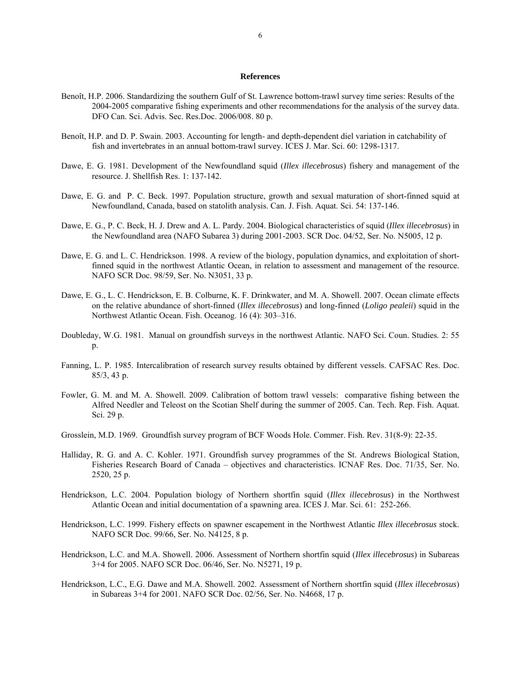#### **References**

- Benoît, H.P. 2006. Standardizing the southern Gulf of St. Lawrence bottom-trawl survey time series: Results of the 2004-2005 comparative fishing experiments and other recommendations for the analysis of the survey data. DFO Can. Sci. Advis. Sec. Res.Doc. 2006/008. 80 p.
- Benoît, H.P. and D. P. Swain. 2003. Accounting for length- and depth-dependent diel variation in catchability of fish and invertebrates in an annual bottom-trawl survey. ICES J. Mar. Sci. 60: 1298-1317.
- Dawe, E. G. 1981. Development of the Newfoundland squid (*Illex illecebrosus*) fishery and management of the resource. J. Shellfish Res. 1: 137-142.
- Dawe, E. G. and P. C. Beck. 1997. Population structure, growth and sexual maturation of short-finned squid at Newfoundland, Canada, based on statolith analysis. Can. J. Fish. Aquat. Sci. 54: 137-146.
- Dawe, E. G., P. C. Beck, H. J. Drew and A. L. Pardy. 2004. Biological characteristics of squid (*Illex illecebrosus*) in the Newfoundland area (NAFO Subarea 3) during 2001-2003. SCR Doc. 04/52, Ser. No. N5005, 12 p.
- Dawe, E. G. and L. C. Hendrickson. 1998. A review of the biology, population dynamics, and exploitation of shortfinned squid in the northwest Atlantic Ocean, in relation to assessment and management of the resource. NAFO SCR Doc. 98/59, Ser. No. N3051, 33 p.
- Dawe, E. G., L. C. Hendrickson, E. B. Colburne, K. F. Drinkwater, and M. A. Showell. 2007. Ocean climate effects on the relative abundance of short-finned (*Illex illecebrosus*) and long-finned (*Loligo pealeii*) squid in the Northwest Atlantic Ocean. Fish. Oceanog. 16 (4): 303–316.
- Doubleday, W.G. 1981. Manual on groundfish surveys in the northwest Atlantic. NAFO Sci. Coun. Studies. 2: 55 p.
- Fanning, L. P. 1985. Intercalibration of research survey results obtained by different vessels. CAFSAC Res. Doc. 85/3, 43 p.
- Fowler, G. M. and M. A. Showell. 2009. Calibration of bottom trawl vessels: comparative fishing between the Alfred Needler and Teleost on the Scotian Shelf during the summer of 2005. Can. Tech. Rep. Fish. Aquat. Sci. 29 p.
- Grosslein, M.D. 1969. Groundfish survey program of BCF Woods Hole. Commer. Fish. Rev. 31(8-9): 22-35.
- Halliday, R. G. and A. C. Kohler. 1971. Groundfish survey programmes of the St. Andrews Biological Station, Fisheries Research Board of Canada – objectives and characteristics. ICNAF Res. Doc. 71/35, Ser. No. 2520, 25 p.
- Hendrickson, L.C. 2004. Population biology of Northern shortfin squid (*Illex illecebrosus*) in the Northwest Atlantic Ocean and initial documentation of a spawning area. ICES J. Mar. Sci. 61: 252-266.
- Hendrickson, L.C. 1999. Fishery effects on spawner escapement in the Northwest Atlantic *Illex illecebrosus* stock. NAFO SCR Doc. 99/66, Ser. No. N4125, 8 p.
- Hendrickson, L.C. and M.A. Showell. 2006. Assessment of Northern shortfin squid (*Illex illecebrosus*) in Subareas 3+4 for 2005. NAFO SCR Doc. 06/46, Ser. No. N5271, 19 p.
- Hendrickson, L.C., E.G. Dawe and M.A. Showell. 2002. Assessment of Northern shortfin squid (*Illex illecebrosus*) in Subareas 3+4 for 2001. NAFO SCR Doc. 02/56, Ser. No. N4668, 17 p.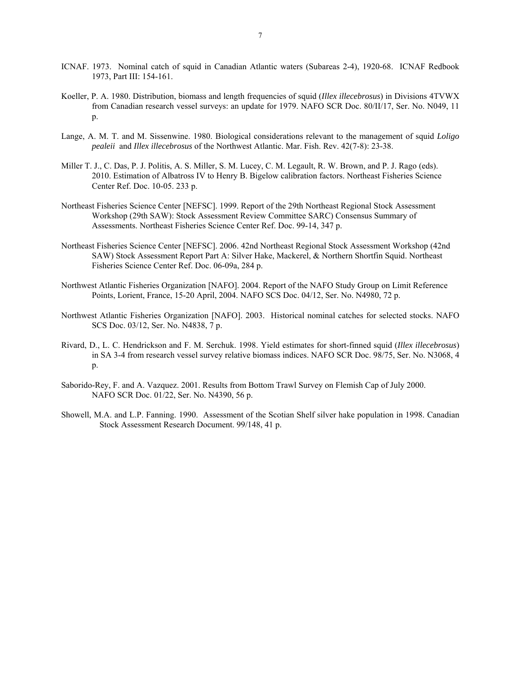- ICNAF. 1973. Nominal catch of squid in Canadian Atlantic waters (Subareas 2-4), 1920-68. ICNAF Redbook 1973, Part III: 154-161.
- Koeller, P. A. 1980. Distribution, biomass and length frequencies of squid (*Illex illecebrosus*) in Divisions 4TVWX from Canadian research vessel surveys: an update for 1979. NAFO SCR Doc. 80/II/17, Ser. No. N049, 11 p.
- Lange, A. M. T. and M. Sissenwine. 1980. Biological considerations relevant to the management of squid *Loligo pealeii* and *Illex illecebrosus* of the Northwest Atlantic. Mar. Fish. Rev. 42(7-8): 23-38.
- Miller T. J., C. Das, P. J. Politis, A. S. Miller, S. M. Lucey, C. M. Legault, R. W. Brown, and P. J. Rago (eds). 2010. Estimation of Albatross IV to Henry B. Bigelow calibration factors. Northeast Fisheries Science Center Ref. Doc. 10-05. 233 p.
- Northeast Fisheries Science Center [NEFSC]. 1999. Report of the 29th Northeast Regional Stock Assessment Workshop (29th SAW): Stock Assessment Review Committee SARC) Consensus Summary of Assessments. Northeast Fisheries Science Center Ref. Doc. 99-14, 347 p.
- Northeast Fisheries Science Center [NEFSC]. 2006. 42nd Northeast Regional Stock Assessment Workshop (42nd SAW) Stock Assessment Report Part A: Silver Hake, Mackerel, & Northern Shortfin Squid. Northeast Fisheries Science Center Ref. Doc. 06-09a, 284 p.
- Northwest Atlantic Fisheries Organization [NAFO]. 2004. Report of the NAFO Study Group on Limit Reference Points, Lorient, France, 15-20 April, 2004. NAFO SCS Doc. 04/12, Ser. No. N4980, 72 p.
- Northwest Atlantic Fisheries Organization [NAFO]. 2003. Historical nominal catches for selected stocks. NAFO SCS Doc. 03/12, Ser. No. N4838, 7 p.
- Rivard, D., L. C. Hendrickson and F. M. Serchuk. 1998. Yield estimates for short-finned squid (*Illex illecebrosus*) in SA 3-4 from research vessel survey relative biomass indices. NAFO SCR Doc. 98/75, Ser. No. N3068, 4 p.
- Saborido-Rey, F. and A. Vazquez. 2001. Results from Bottom Trawl Survey on Flemish Cap of July 2000. NAFO SCR Doc. 01/22, Ser. No. N4390, 56 p.
- Showell, M.A. and L.P. Fanning. 1990. Assessment of the Scotian Shelf silver hake population in 1998. Canadian Stock Assessment Research Document. 99/148, 41 p.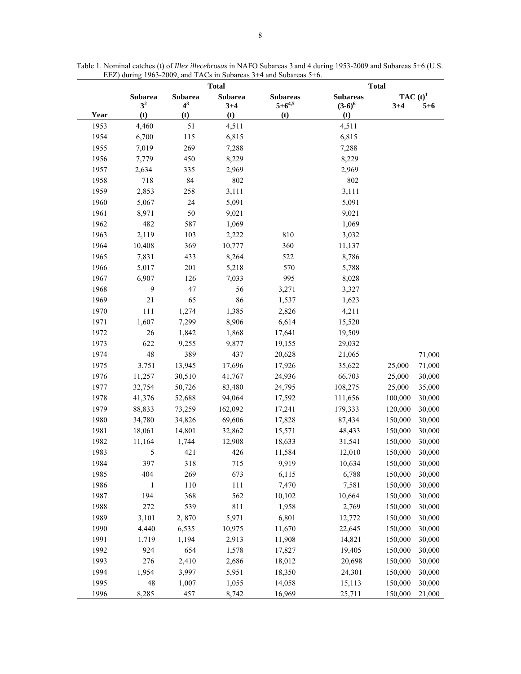|      |                |                | <b>Total</b>   |                 | <b>Total</b>    |            |         |
|------|----------------|----------------|----------------|-----------------|-----------------|------------|---------|
|      | <b>Subarea</b> | <b>Subarea</b> | <b>Subarea</b> | <b>Subareas</b> | <b>Subareas</b> | $TAC(t)^1$ |         |
|      | 3 <sup>2</sup> | $4^3$          | $3 + 4$        | $5 + 6^{4,5}$   | $(3-6)^6$       | $3 + 4$    | $5 + 6$ |
| Year | (t)            | (t)            | (t)            | (t)             | (t)             |            |         |
| 1953 | 4,460          | 51             | 4,511          |                 | 4,511           |            |         |
| 1954 | 6,700          | 115            | 6,815          |                 | 6,815           |            |         |
| 1955 | 7,019          | 269            | 7,288          |                 | 7,288           |            |         |
| 1956 | 7,779          | 450            | 8,229          |                 | 8,229           |            |         |
| 1957 | 2,634          | 335            | 2,969          |                 | 2,969           |            |         |
| 1958 | 718            | 84             | 802            |                 | 802             |            |         |
| 1959 | 2,853          | 258            | 3,111          |                 | 3,111           |            |         |
| 1960 | 5,067          | 24             | 5,091          |                 | 5,091           |            |         |
| 1961 | 8,971          | 50             | 9,021          |                 | 9,021           |            |         |
| 1962 | 482            | 587            | 1,069          |                 | 1,069           |            |         |
| 1963 | 2,119          | 103            | 2,222          | 810             | 3,032           |            |         |
| 1964 | 10,408         | 369            | 10,777         | 360             | 11,137          |            |         |
| 1965 | 7,831          | 433            | 8,264          | 522             | 8,786           |            |         |
| 1966 | 5,017          | 201            | 5,218          | 570             | 5,788           |            |         |
| 1967 | 6,907          | 126            | 7,033          | 995             | 8,028           |            |         |
| 1968 | 9              | 47             | 56             | 3,271           | 3,327           |            |         |
| 1969 | 21             | 65             | 86             | 1,537           | 1,623           |            |         |
| 1970 | 111            | 1,274          | 1,385          | 2,826           | 4,211           |            |         |
| 1971 | 1,607          | 7,299          | 8,906          | 6,614           | 15,520          |            |         |
| 1972 | 26             | 1,842          | 1,868          | 17,641          | 19,509          |            |         |
| 1973 | 622            | 9,255          | 9,877          | 19,155          | 29,032          |            |         |
| 1974 | 48             | 389            | 437            | 20,628          | 21,065          |            | 71,000  |
| 1975 | 3,751          | 13,945         | 17,696         | 17,926          | 35,622          | 25,000     | 71,000  |
| 1976 | 11,257         | 30,510         | 41,767         | 24,936          | 66,703          | 25,000     | 30,000  |
| 1977 | 32,754         | 50,726         | 83,480         | 24,795          | 108,275         | 25,000     | 35,000  |
| 1978 | 41,376         | 52,688         | 94,064         | 17,592          | 111,656         | 100,000    | 30,000  |
| 1979 | 88,833         | 73,259         | 162,092        | 17,241          | 179,333         | 120,000    | 30,000  |
| 1980 | 34,780         | 34,826         | 69,606         | 17,828          | 87,434          | 150,000    | 30,000  |
| 1981 | 18,061         | 14,801         | 32,862         | 15,571          | 48,433          | 150,000    | 30,000  |
| 1982 | 11,164         | 1,744          | 12,908         | 18,633          | 31,541          | 150,000    | 30,000  |
| 1983 | 5              | 421            | 426            | 11,584          | 12,010          | 150,000    | 30,000  |
| 1984 | 397            | 318            | 715            | 9,919           | 10,634          | 150,000    | 30,000  |
| 1985 | 404            | 269            | 673            | 6,115           | 6,788           | 150,000    | 30,000  |
| 1986 | 1              | 110            | 111            | 7,470           | 7,581           | 150,000    | 30,000  |
| 1987 | 194            | 368            | 562            | 10,102          | 10,664          | 150,000    | 30,000  |
| 1988 | 272            | 539            | 811            | 1,958           | 2,769           | 150,000    | 30,000  |
| 1989 | 3,101          | 2,870          | 5,971          | 6,801           | 12,772          | 150,000    | 30,000  |
| 1990 | 4,440          | 6,535          | 10,975         | 11,670          | 22,645          | 150,000    | 30,000  |
| 1991 | 1,719          | 1,194          | 2,913          | 11,908          | 14,821          | 150,000    | 30,000  |
| 1992 | 924            | 654            | 1,578          | 17,827          | 19,405          | 150,000    | 30,000  |
| 1993 | 276            | 2,410          | 2,686          | 18,012          | 20,698          | 150,000    | 30,000  |
| 1994 | 1,954          | 3,997          | 5,951          | 18,350          | 24,301          | 150,000    | 30,000  |
| 1995 | 48             | 1,007          | 1,055          | 14,058          | 15,113          | 150,000    | 30,000  |
| 1996 | 8,285          | 457            | 8,742          | 16,969          | 25,711          | 150,000    | 21,000  |

Table 1. Nominal catches (t) of *Illex illecebrosus* in NAFO Subareas 3 and 4 during 1953-2009 and Subareas 5+6 (U.S. EEZ) during 1963-2009, and TACs in Subareas 3+4 and Subareas 5+6.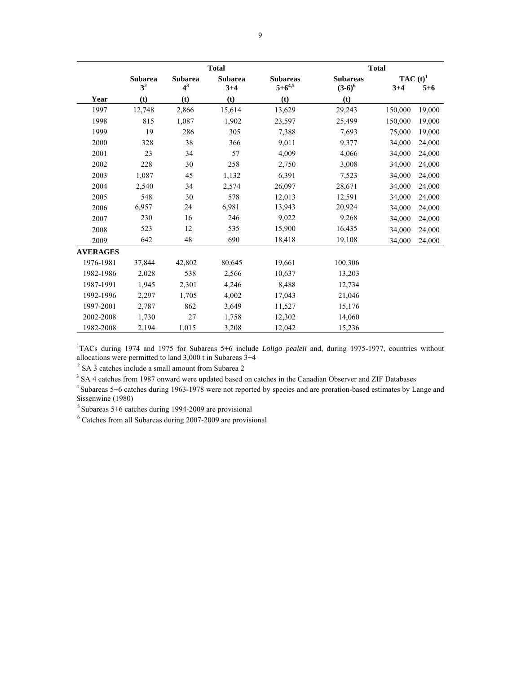|                 |                                  |                         | <b>Total</b>              |                                  |                              | <b>Total</b>          |         |
|-----------------|----------------------------------|-------------------------|---------------------------|----------------------------------|------------------------------|-----------------------|---------|
|                 | <b>Subarea</b><br>3 <sup>2</sup> | <b>Subarea</b><br>$4^3$ | <b>Subarea</b><br>$3 + 4$ | <b>Subareas</b><br>$5 + 6^{4,5}$ | <b>Subareas</b><br>$(3-6)^6$ | $TAC(t)^1$<br>$3 + 4$ | $5 + 6$ |
| Year            | (t)                              | (t)                     | (t)                       | (t)                              | (t)                          |                       |         |
| 1997            | 12,748                           | 2,866                   | 15,614                    | 13,629                           | 29,243                       | 150,000               | 19,000  |
| 1998            | 815                              | 1,087                   | 1,902                     | 23,597                           | 25,499                       | 150,000               | 19,000  |
| 1999            | 19                               | 286                     | 305                       | 7,388                            | 7,693                        | 75,000                | 19,000  |
| 2000            | 328                              | 38                      | 366                       | 9,011                            | 9,377                        | 34,000                | 24,000  |
| 2001            | 23                               | 34                      | 57                        | 4,009                            | 4,066                        | 34,000                | 24,000  |
| 2002            | 228                              | 30                      | 258                       | 2,750                            | 3,008                        | 34,000                | 24,000  |
| 2003            | 1,087                            | 45                      | 1,132                     | 6,391                            | 7,523                        | 34,000                | 24,000  |
| 2004            | 2,540                            | 34                      | 2,574                     | 26,097                           | 28,671                       | 34,000                | 24,000  |
| 2005            | 548                              | 30                      | 578                       | 12,013                           | 12,591                       | 34,000                | 24,000  |
| 2006            | 6,957                            | 24                      | 6,981                     | 13,943                           | 20,924                       | 34,000                | 24,000  |
| 2007            | 230                              | 16                      | 246                       | 9,022                            | 9,268                        | 34,000                | 24,000  |
| 2008            | 523                              | 12                      | 535                       | 15,900                           | 16,435                       | 34,000                | 24,000  |
| 2009            | 642                              | 48                      | 690                       | 18,418                           | 19,108                       | 34,000                | 24,000  |
| <b>AVERAGES</b> |                                  |                         |                           |                                  |                              |                       |         |
| 1976-1981       | 37,844                           | 42,802                  | 80,645                    | 19,661                           | 100,306                      |                       |         |
| 1982-1986       | 2,028                            | 538                     | 2,566                     | 10,637                           | 13,203                       |                       |         |
| 1987-1991       | 1,945                            | 2,301                   | 4,246                     | 8,488                            | 12,734                       |                       |         |
| 1992-1996       | 2,297                            | 1,705                   | 4,002                     | 17,043                           | 21,046                       |                       |         |
| 1997-2001       | 2,787                            | 862                     | 3,649                     | 11,527                           | 15,176                       |                       |         |
| 2002-2008       | 1,730                            | 27                      | 1,758                     | 12,302                           | 14,060                       |                       |         |
| 1982-2008       | 2,194                            | 1,015                   | 3,208                     | 12,042                           | 15,236                       |                       |         |

<sup>1</sup>TACs during 1974 and 1975 for Subareas 5+6 include *Loligo pealeii* and, during 1975-1977, countries without allocations were permitted to land 3,000 t in Subareas 3+4

 $2$  SA 3 catches include a small amount from Subarea 2

 $3$  SA 4 catches from 1987 onward were updated based on catches in the Canadian Observer and ZIF Databases

<sup>4</sup> Subareas 5+6 catches during 1963-1978 were not reported by species and are proration-based estimates by Lange and Sissenwine (1980)

5 Subareas 5+6 catches during 1994-2009 are provisional

6 Catches from all Subareas during 2007-2009 are provisional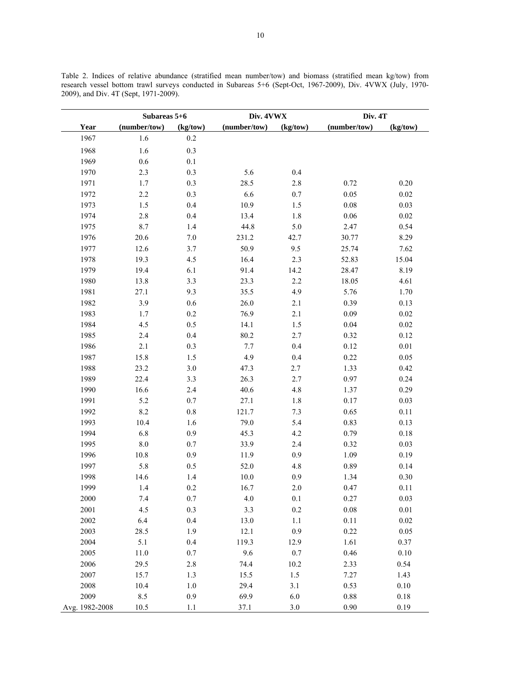Table 2. Indices of relative abundance (stratified mean number/tow) and biomass (stratified mean kg/tow) from research vessel bottom trawl surveys conducted in Subareas 5+6 (Sept-Oct, 1967-2009), Div. 4VWX (July, 1970- 2009), and Div. 4T (Sept, 1971-2009).

|                | Subareas 5+6 |          | Div. 4VWX    |          | Div. 4T      |          |
|----------------|--------------|----------|--------------|----------|--------------|----------|
| Year           | (number/tow) | (kg/tow) | (number/tow) | (kg/tow) | (number/tow) | (kg/tow) |
| 1967           | 1.6          | 0.2      |              |          |              |          |
| 1968           | 1.6          | 0.3      |              |          |              |          |
| 1969           | $0.6\,$      | 0.1      |              |          |              |          |
| 1970           | 2.3          | 0.3      | 5.6          | 0.4      |              |          |
| 1971           | 1.7          | 0.3      | 28.5         | $2.8\,$  | 0.72         | 0.20     |
| 1972           | 2.2          | 0.3      | 6.6          | $0.7\,$  | $0.05\,$     | 0.02     |
| 1973           | 1.5          | $0.4\,$  | 10.9         | 1.5      | $0.08\,$     | 0.03     |
| 1974           | $2.8\,$      | $0.4\,$  | 13.4         | $1.8\,$  | $0.06\,$     | 0.02     |
| 1975           | 8.7          | 1.4      | 44.8         | $5.0\,$  | 2.47         | 0.54     |
| 1976           | 20.6         | $7.0\,$  | 231.2        | 42.7     | 30.77        | 8.29     |
| 1977           | 12.6         | 3.7      | 50.9         | 9.5      | 25.74        | 7.62     |
| 1978           | 19.3         | 4.5      | 16.4         | 2.3      | 52.83        | 15.04    |
| 1979           | 19.4         | 6.1      | 91.4         | 14.2     | 28.47        | 8.19     |
| 1980           | 13.8         | 3.3      | 23.3         | 2.2      | 18.05        | 4.61     |
| 1981           | 27.1         | 9.3      | 35.5         | 4.9      | 5.76         | 1.70     |
| 1982           | 3.9          | $0.6\,$  | 26.0         | 2.1      | 0.39         | 0.13     |
| 1983           | 1.7          | 0.2      | 76.9         | 2.1      | 0.09         | $0.02\,$ |
| 1984           | 4.5          | 0.5      | 14.1         | 1.5      | $0.04\,$     | 0.02     |
| 1985           | 2.4          | 0.4      | 80.2         | 2.7      | 0.32         | 0.12     |
| 1986           | $2.1$        | 0.3      | 7.7          | 0.4      | 0.12         | $0.01\,$ |
| 1987           | 15.8         | $1.5\,$  | 4.9          | $0.4\,$  | 0.22         | $0.05\,$ |
| 1988           | 23.2         | $3.0\,$  | 47.3         | 2.7      | 1.33         | 0.42     |
| 1989           | 22.4         | 3.3      | 26.3         | 2.7      | 0.97         | 0.24     |
| 1990           | 16.6         | $2.4\,$  | 40.6         | 4.8      | 1.37         | 0.29     |
| 1991           | 5.2          | 0.7      | 27.1         | 1.8      | 0.17         | 0.03     |
| 1992           | 8.2          | $0.8\,$  | 121.7        | 7.3      | 0.65         | 0.11     |
| 1993           | 10.4         | 1.6      | 79.0         | 5.4      | 0.83         | 0.13     |
| 1994           | 6.8          | 0.9      | 45.3         | 4.2      | 0.79         | $0.18\,$ |
| 1995           | $8.0\,$      | $0.7\,$  | 33.9         | 2.4      | 0.32         | 0.03     |
| 1996           | $10.8\,$     | 0.9      | 11.9         | $0.9\,$  | 1.09         | 0.19     |
| 1997           | 5.8          | 0.5      | 52.0         | 4.8      | 0.89         | 0.14     |
| 1998           | 14.6         | 1.4      | 10.0         | 0.9      | 1.34         | 0.30     |
| 1999           | 1.4          | 0.2      | 16.7         | 2.0      | 0.47         | 0.11     |
| 2000           | 7.4          | 0.7      | 4.0          | 0.1      | 0.27         | 0.03     |
| 2001           | 4.5          | 0.3      | 3.3          | $0.2\,$  | $0.08\,$     | $0.01\,$ |
| 2002           | 6.4          | 0.4      | 13.0         | 1.1      | 0.11         | $0.02\,$ |
| 2003           | 28.5         | 1.9      | 12.1         | 0.9      | 0.22         | 0.05     |
| 2004           | 5.1          | 0.4      | 119.3        | 12.9     | 1.61         | 0.37     |
| 2005           | 11.0         | $0.7\,$  | 9.6          | 0.7      | 0.46         | 0.10     |
| 2006           | 29.5         | 2.8      | 74.4         | 10.2     | 2.33         | 0.54     |
| 2007           | 15.7         | 1.3      | 15.5         | 1.5      | 7.27         | 1.43     |
| 2008           | 10.4         | $1.0\,$  | 29.4         | 3.1      | 0.53         | 0.10     |
| 2009           | 8.5          | 0.9      | 69.9         | 6.0      | $0.88\,$     | 0.18     |
| Avg. 1982-2008 | 10.5         | 1.1      | 37.1         | 3.0      | 0.90         | 0.19     |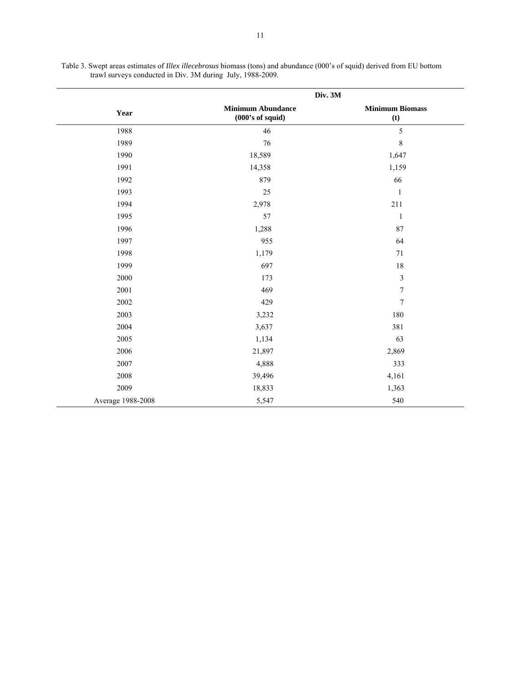|                   | Div. 3M                                        |                               |
|-------------------|------------------------------------------------|-------------------------------|
| Year              | <b>Minimum Abundance</b><br>$(000's of$ squid) | <b>Minimum Biomass</b><br>(t) |
| 1988              | 46                                             | 5                             |
| 1989              | 76                                             | 8                             |
| 1990              | 18,589                                         | 1,647                         |
| 1991              | 14,358                                         | 1,159                         |
| 1992              | 879                                            | 66                            |
| 1993              | 25                                             | $\mathbf{1}$                  |
| 1994              | 2,978                                          | 211                           |
| 1995              | 57                                             | $\,1\,$                       |
| 1996              | 1,288                                          | 87                            |
| 1997              | 955                                            | 64                            |
| 1998              | 1,179                                          | 71                            |
| 1999              | 697                                            | 18                            |
| 2000              | 173                                            | $\mathfrak{Z}$                |
| 2001              | 469                                            | $\boldsymbol{7}$              |
| 2002              | 429                                            | $\boldsymbol{7}$              |
| 2003              | 3,232                                          | 180                           |
| 2004              | 3,637                                          | 381                           |
| 2005              | 1,134                                          | 63                            |
| 2006              | 21,897                                         | 2,869                         |
| 2007              | 4,888                                          | 333                           |
| 2008              | 39,496                                         | 4,161                         |
| 2009              | 18,833                                         | 1,363                         |
| Average 1988-2008 | 5,547                                          | 540                           |

Table 3. Swept areas estimates of *Illex illecebrosus* biomass (tons) and abundance (000's of squid) derived from EU bottom trawl surveys conducted in Div. 3M during July, 1988-2009.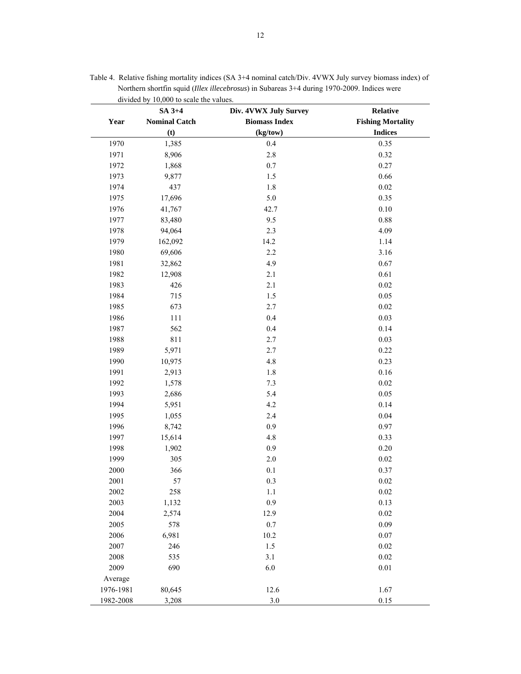|           | SA 3+4               | Div. 4VWX July Survey | Relative                 |  |
|-----------|----------------------|-----------------------|--------------------------|--|
| Year      | <b>Nominal Catch</b> | <b>Biomass Index</b>  | <b>Fishing Mortality</b> |  |
|           | (t)                  | (kg/tow)              | <b>Indices</b>           |  |
| 1970      | 1,385                | 0.4                   | 0.35                     |  |
| 1971      | 8,906                | $2.8\,$               | 0.32                     |  |
| 1972      | 1,868                | $0.7\,$               | 0.27                     |  |
| 1973      | 9,877                | $1.5\,$               | 0.66                     |  |
| 1974      | 437                  | $1.8\,$               | 0.02                     |  |
| 1975      | 17,696               | 5.0                   | 0.35                     |  |
| 1976      | 41,767               | 42.7                  | 0.10                     |  |
| 1977      | 83,480               | 9.5                   | 0.88                     |  |
| 1978      | 94,064               | 2.3                   | 4.09                     |  |
| 1979      | 162,092              | 14.2                  | 1.14                     |  |
| 1980      | 69,606               | 2.2                   | 3.16                     |  |
| 1981      | 32,862               | 4.9                   | 0.67                     |  |
| 1982      | 12,908               | 2.1                   | 0.61                     |  |
| 1983      | 426                  | 2.1                   | 0.02                     |  |
| 1984      | 715                  | 1.5                   | 0.05                     |  |
| 1985      | 673                  | 2.7                   | 0.02                     |  |
| 1986      | 111                  | 0.4                   | 0.03                     |  |
| 1987      | 562                  | 0.4                   | 0.14                     |  |
| 1988      | 811                  | 2.7                   | 0.03                     |  |
| 1989      | 5,971                | 2.7                   | 0.22                     |  |
| 1990      | 10,975               | $4.8\,$               | 0.23                     |  |
| 1991      | 2,913                | $1.8\,$               | 0.16                     |  |
| 1992      | 1,578                | $7.3\,$               | $0.02\,$                 |  |
| 1993      | 2,686                | 5.4                   | 0.05                     |  |
| 1994      | 5,951                | 4.2                   | 0.14                     |  |
| 1995      | 1,055                | 2.4                   | 0.04                     |  |
| 1996      | 8,742                | 0.9                   | 0.97                     |  |
| 1997      | 15,614               | $4.8\,$               | 0.33                     |  |
| 1998      | 1,902                | 0.9                   | 0.20                     |  |
| 1999      | 305                  | $2.0\,$               | 0.02                     |  |
| 2000      | 366                  | 0.1                   | 0.37                     |  |
| 2001      | 57                   | $0.3\,$               | 0.02                     |  |
| 2002      | 258                  | 1.1                   | 0.02                     |  |
| 2003      | 1,132                | 0.9                   | 0.13                     |  |
| 2004      | 2,574                | 12.9                  | $0.02\,$                 |  |
| 2005      | 578                  | 0.7                   | 0.09                     |  |
| 2006      | 6,981                | 10.2                  | 0.07                     |  |
| 2007      | 246                  | 1.5                   | $0.02\,$                 |  |
| 2008      | 535                  | 3.1                   | 0.02                     |  |
| 2009      | 690                  | 6.0                   | $0.01\,$                 |  |
| Average   |                      |                       |                          |  |
| 1976-1981 | 80,645               | 12.6                  | 1.67                     |  |
| 1982-2008 | 3,208                | 3.0                   | $0.15\,$                 |  |

Table 4. Relative fishing mortality indices (SA 3+4 nominal catch/Div. 4VWX July survey biomass index) of Northern shortfin squid (*Illex illecebrosus*) in Subareas 3+4 during 1970-2009. Indices were divided by 10,000 to scale the values.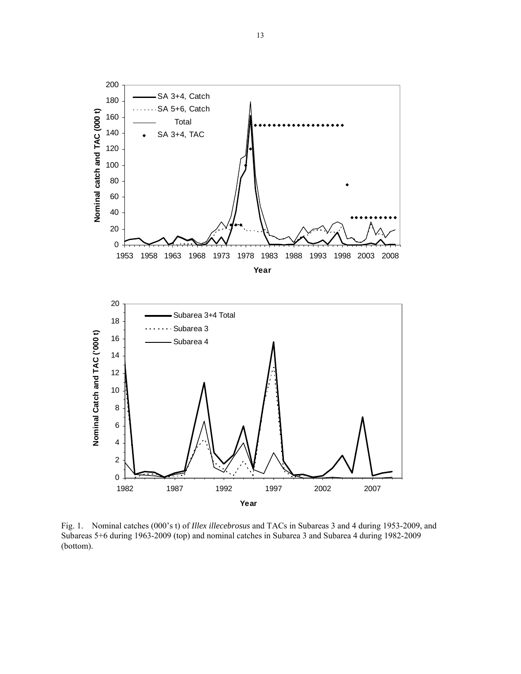

Fig. 1.Nominal catches (000's t) of *Illex illecebrosus* and TACs in Subareas 3 and 4 during 1953-2009, and Subareas 5+6 during 1963-2009 (top) and nominal catches in Subarea 3 and Subarea 4 during 1982-2009 (bottom).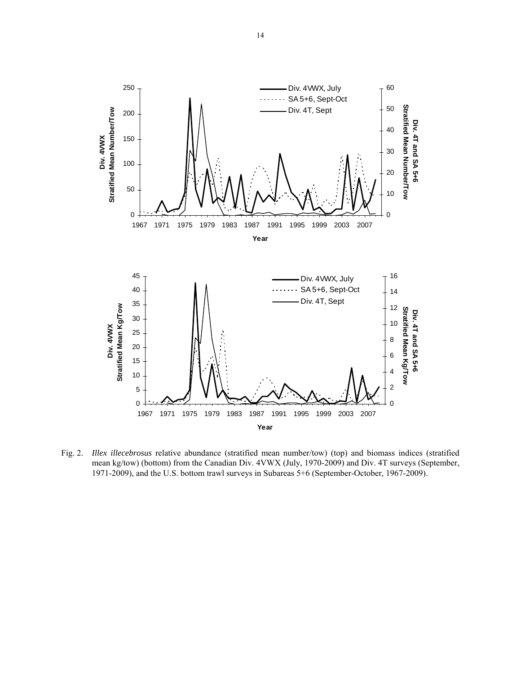

Fig. 2. *Illex illecebrosus* relative abundance (stratified mean number/tow) (top) and biomass indices (stratified mean kg/tow) (bottom) from the Canadian Div. 4VWX (July, 1970-2009) and Div. 4T surveys (September, 1971-2009), and the U.S. bottom trawl surveys in Subareas 5+6 (September-October, 1967-2009).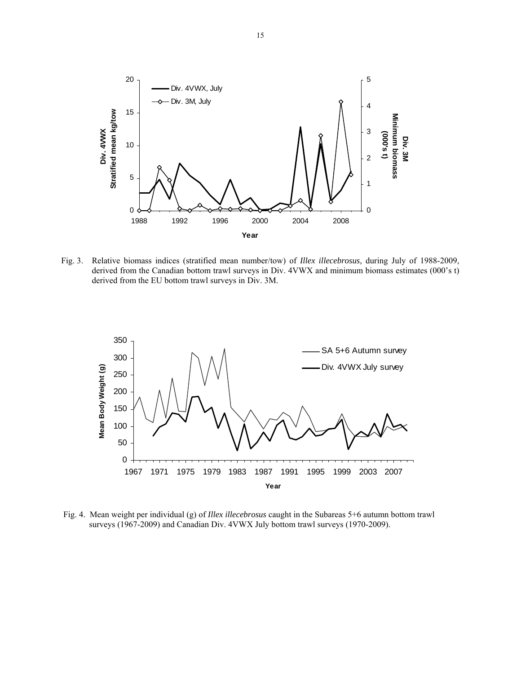

Fig. 3. Relative biomass indices (stratified mean number/tow) of *Illex illecebrosus*, during July of 1988-2009, derived from the Canadian bottom trawl surveys in Div. 4VWX and minimum biomass estimates (000's t) derived from the EU bottom trawl surveys in Div. 3M.



 Fig. 4. Mean weight per individual (g) of *Illex illecebrosus* caught in the Subareas 5+6 autumn bottom trawl surveys (1967-2009) and Canadian Div. 4VWX July bottom trawl surveys (1970-2009).